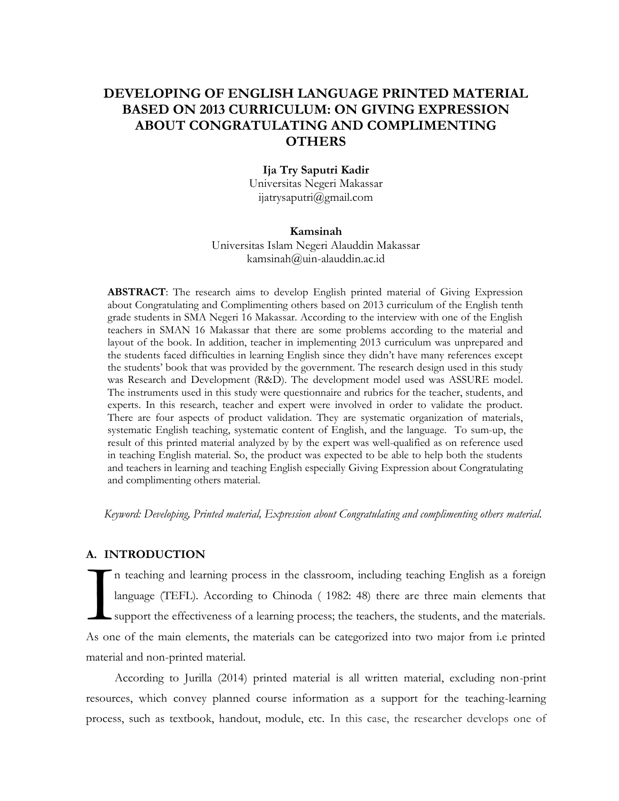# **DEVELOPING OF ENGLISH LANGUAGE PRINTED MATERIAL BASED ON 2013 CURRICULUM: ON GIVING EXPRESSION ABOUT CONGRATULATING AND COMPLIMENTING OTHERS**

### **Ija Try Saputri Kadir**

Universitas Negeri Makassar [ijatrysaputri@gmail.com](mailto:ijatrysaputri@gmail.com)

#### **Kamsinah**

Universitas Islam Negeri Alauddin Makassar kamsinah@uin-alauddin.ac.id

**ABSTRACT**: The research aims to develop English printed material of Giving Expression about Congratulating and Complimenting others based on 2013 curriculum of the English tenth grade students in SMA Negeri 16 Makassar. According to the interview with one of the English teachers in SMAN 16 Makassar that there are some problems according to the material and layout of the book. In addition, teacher in implementing 2013 curriculum was unprepared and the students faced difficulties in learning English since they didn't have many references except the students' book that was provided by the government. The research design used in this study was Research and Development (R&D). The development model used was ASSURE model. The instruments used in this study were questionnaire and rubrics for the teacher, students, and experts. In this research, teacher and expert were involved in order to validate the product. There are four aspects of product validation. They are systematic organization of materials, systematic English teaching, systematic content of English, and the language. To sum-up, the result of this printed material analyzed by by the expert was well-qualified as on reference used in teaching English material. So, the product was expected to be able to help both the students and teachers in learning and teaching English especially Giving Expression about Congratulating and complimenting others material.

*Keyword: Developing, Printed material, Expression about Congratulating and complimenting others material.*

#### **A. INTRODUCTION**

n teaching and learning process in the classroom, including teaching English as a foreign language (TEFL). According to Chinoda ( 1982: 48) there are three main elements that support the effectiveness of a learning process; the teachers, the students, and the materials. As one of the main elements, the materials can be categorized into two major from i.e printed material and non-printed material. I

According to Jurilla (2014) printed material is all written material, excluding non-print resources, which convey planned course information as a support for the teaching-learning process, such as textbook, handout, module, etc. In this case, the researcher develops one of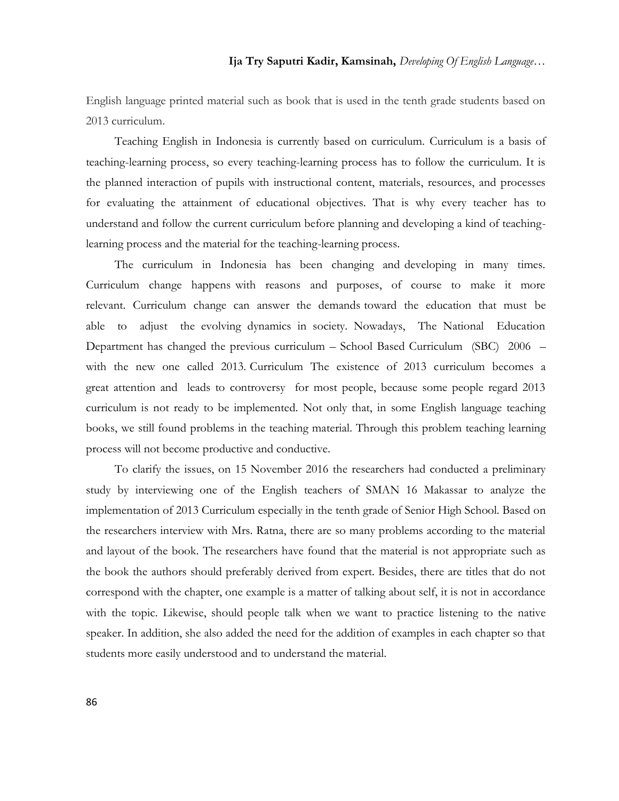English language printed material such as book that is used in the tenth grade students based on 2013 curriculum.

Teaching English in Indonesia is currently based on curriculum. Curriculum is a basis of teaching-learning process, so every teaching-learning process has to follow the curriculum. It is the planned interaction of pupils with instructional content, materials, resources, and processes for evaluating the attainment of educational objectives. That is why every teacher has to understand and follow the current curriculum before planning and developing a kind of teachinglearning process and the material for the teaching-learning process.

The curriculum in Indonesia has been changing and developing in many times. Curriculum change happens with reasons and purposes, of course to make it more relevant. Curriculum change can answer the demands toward the education that must be able to adjust the evolving dynamics in society. Nowadays, The National Education Department has changed the previous curriculum – School Based Curriculum (SBC) 2006 – with the new one called 2013. Curriculum The existence of 2013 curriculum becomes a great attention and leads to controversy for most people, because some people regard 2013 curriculum is not ready to be implemented. Not only that, in some English language teaching books, we still found problems in the teaching material. Through this problem teaching learning process will not become productive and conductive.

To clarify the issues, on 15 November 2016 the researchers had conducted a preliminary study by interviewing one of the English teachers of SMAN 16 Makassar to analyze the implementation of 2013 Curriculum especially in the tenth grade of Senior High School. Based on the researchers interview with Mrs. Ratna, there are so many problems according to the material and layout of the book. The researchers have found that the material is not appropriate such as the book the authors should preferably derived from expert. Besides, there are titles that do not correspond with the chapter, one example is a matter of talking about self, it is not in accordance with the topic. Likewise, should people talk when we want to practice listening to the native speaker. In addition, she also added the need for the addition of examples in each chapter so that students more easily understood and to understand the material.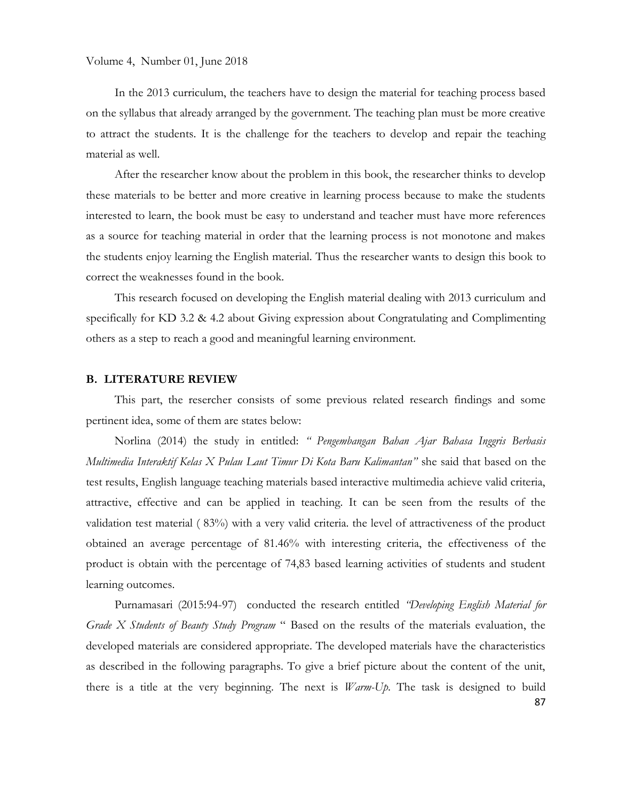In the 2013 curriculum, the teachers have to design the material for teaching process based on the syllabus that already arranged by the government. The teaching plan must be more creative to attract the students. It is the challenge for the teachers to develop and repair the teaching material as well.

After the researcher know about the problem in this book, the researcher thinks to develop these materials to be better and more creative in learning process because to make the students interested to learn, the book must be easy to understand and teacher must have more references as a source for teaching material in order that the learning process is not monotone and makes the students enjoy learning the English material. Thus the researcher wants to design this book to correct the weaknesses found in the book.

This research focused on developing the English material dealing with 2013 curriculum and specifically for KD 3.2 & 4.2 about Giving expression about Congratulating and Complimenting others as a step to reach a good and meaningful learning environment.

#### **B. LITERATURE REVIEW**

This part, the resercher consists of some previous related research findings and some pertinent idea, some of them are states below:

Norlina (2014) the study in entitled: *" Pengembangan Bahan Ajar Bahasa Inggris Berbasis Multimedia Interaktif Kelas X Pulau Laut Timur Di Kota Baru Kalimantan"* she said that based on the test results, English language teaching materials based interactive multimedia achieve valid criteria, attractive, effective and can be applied in teaching. It can be seen from the results of the validation test material ( 83%) with a very valid criteria. the level of attractiveness of the product obtained an average percentage of 81.46% with interesting criteria, the effectiveness of the product is obtain with the percentage of 74,83 based learning activities of students and student learning outcomes.

Purnamasari (2015:94-97) conducted the research entitled *"Developing English Material for Grade X Students of Beauty Study Program* " Based on the results of the materials evaluation, the developed materials are considered appropriate. The developed materials have the characteristics as described in the following paragraphs. To give a brief picture about the content of the unit, there is a title at the very beginning. The next is *Warm-Up*. The task is designed to build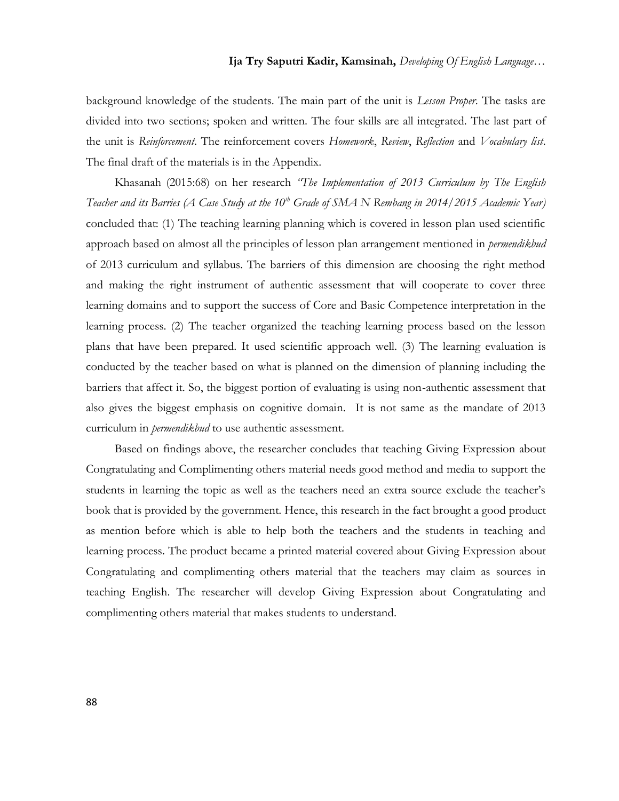background knowledge of the students. The main part of the unit is *Lesson Proper*. The tasks are divided into two sections; spoken and written. The four skills are all integrated. The last part of the unit is *Reinforcement*. The reinforcement covers *Homework*, *Review*, *Reflection* and *Vocabulary list*. The final draft of the materials is in the Appendix.

Khasanah (2015:68) on her research *"The Implementation of 2013 Curriculum by The English Teacher and its Barries (A Case Study at the 10th Grade of SMA N Rembang in 2014/2015 Academic Year)* concluded that: (1) The teaching learning planning which is covered in lesson plan used scientific approach based on almost all the principles of lesson plan arrangement mentioned in *permendikbud* of 2013 curriculum and syllabus. The barriers of this dimension are choosing the right method and making the right instrument of authentic assessment that will cooperate to cover three learning domains and to support the success of Core and Basic Competence interpretation in the learning process. (2) The teacher organized the teaching learning process based on the lesson plans that have been prepared. It used scientific approach well. (3) The learning evaluation is conducted by the teacher based on what is planned on the dimension of planning including the barriers that affect it. So, the biggest portion of evaluating is using non-authentic assessment that also gives the biggest emphasis on cognitive domain. It is not same as the mandate of 2013 curriculum in *permendikbud* to use authentic assessment.

Based on findings above, the researcher concludes that teaching Giving Expression about Congratulating and Complimenting others material needs good method and media to support the students in learning the topic as well as the teachers need an extra source exclude the teacher's book that is provided by the government. Hence, this research in the fact brought a good product as mention before which is able to help both the teachers and the students in teaching and learning process. The product became a printed material covered about Giving Expression about Congratulating and complimenting others material that the teachers may claim as sources in teaching English. The researcher will develop Giving Expression about Congratulating and complimenting others material that makes students to understand.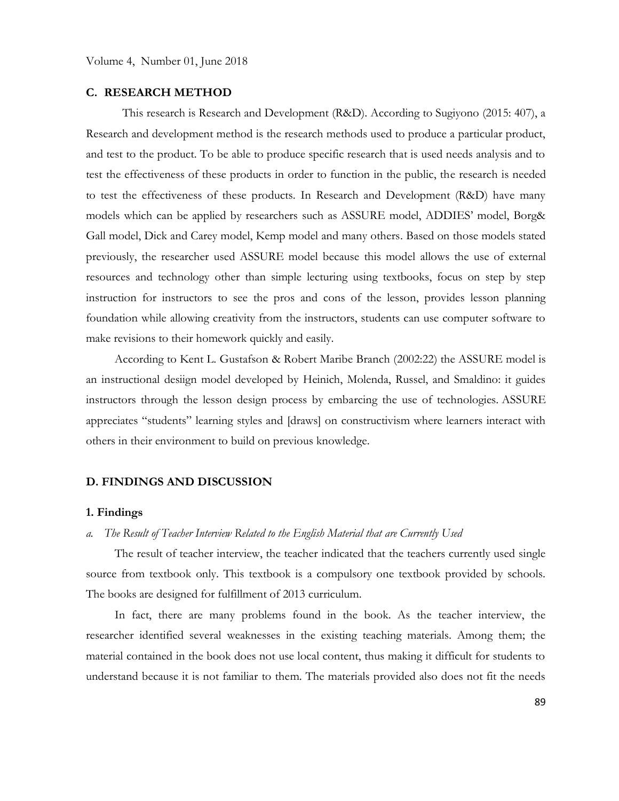#### **C. RESEARCH METHOD**

This research is Research and Development (R&D). According to Sugiyono (2015: 407), a Research and development method is the research methods used to produce a particular product, and test to the product. To be able to produce specific research that is used needs analysis and to test the effectiveness of these products in order to function in the public, the research is needed to test the effectiveness of these products. In Research and Development (R&D) have many models which can be applied by researchers such as ASSURE model, ADDIES' model, Borg& Gall model, Dick and Carey model, Kemp model and many others. Based on those models stated previously, the researcher used ASSURE model because this model allows the use of external resources and technology other than simple lecturing using textbooks, focus on step by step instruction for instructors to see the pros and cons of the lesson, provides lesson planning foundation while allowing creativity from the instructors, students can use computer software to make revisions to their homework quickly and easily.

According to Kent L. Gustafson & Robert Maribe Branch (2002:22) the ASSURE model is an instructional desiign model developed by Heinich, Molenda, Russel, and Smaldino: it guides instructors through the lesson design process by embarcing the use of technologies. ASSURE appreciates "students" learning styles and [draws] on constructivism where learners interact with others in their environment to build on previous knowledge.

#### **D. FINDINGS AND DISCUSSION**

#### **1. Findings**

#### *a. The Result of Teacher Interview Related to the English Material that are Currently Used*

The result of teacher interview, the teacher indicated that the teachers currently used single source from textbook only. This textbook is a compulsory one textbook provided by schools. The books are designed for fulfillment of 2013 curriculum.

In fact, there are many problems found in the book. As the teacher interview, the researcher identified several weaknesses in the existing teaching materials. Among them; the material contained in the book does not use local content, thus making it difficult for students to understand because it is not familiar to them. The materials provided also does not fit the needs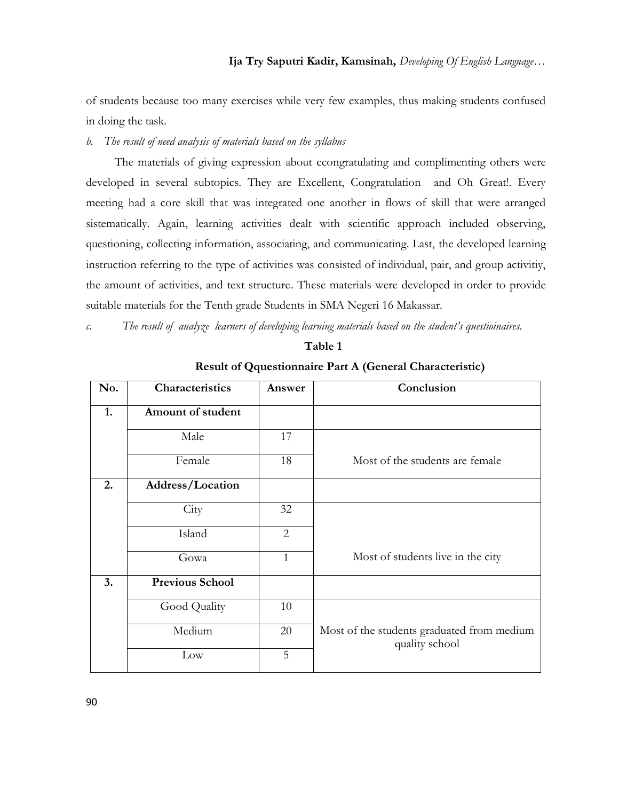of students because too many exercises while very few examples, thus making students confused in doing the task.

### *b. The result of need analysis of materials based on the syllabus*

The materials of giving expression about ccongratulating and complimenting others were developed in several subtopics. They are Excellent, Congratulation and Oh Great!. Every meeting had a core skill that was integrated one another in flows of skill that were arranged sistematically. Again, learning activities dealt with scientific approach included observing, questioning, collecting information, associating, and communicating. Last, the developed learning instruction referring to the type of activities was consisted of individual, pair, and group activitiy, the amount of activities, and text structure. These materials were developed in order to provide suitable materials for the Tenth grade Students in SMA Negeri 16 Makassar.

*c. The result of analyze learners of developing learning materials based on the student's questioinaires.*

| `able |  |
|-------|--|
|       |  |

| No. | Characteristics        | Answer         | Conclusion                                                   |  |
|-----|------------------------|----------------|--------------------------------------------------------------|--|
| 1.  | Amount of student      |                |                                                              |  |
|     | Male                   | 17             |                                                              |  |
|     | Female                 | 18             | Most of the students are female                              |  |
| 2.  | Address/Location       |                |                                                              |  |
|     | City                   | 32             |                                                              |  |
|     | Island                 | $\overline{2}$ |                                                              |  |
|     | Gowa                   | $\mathbf{1}$   | Most of students live in the city                            |  |
| 3.  | <b>Previous School</b> |                |                                                              |  |
|     | Good Quality           | 10             |                                                              |  |
|     | Medium                 | 20             | Most of the students graduated from medium<br>quality school |  |
|     | Low                    | 5              |                                                              |  |

**Result of Qquestionnaire Part A (General Characteristic)**

90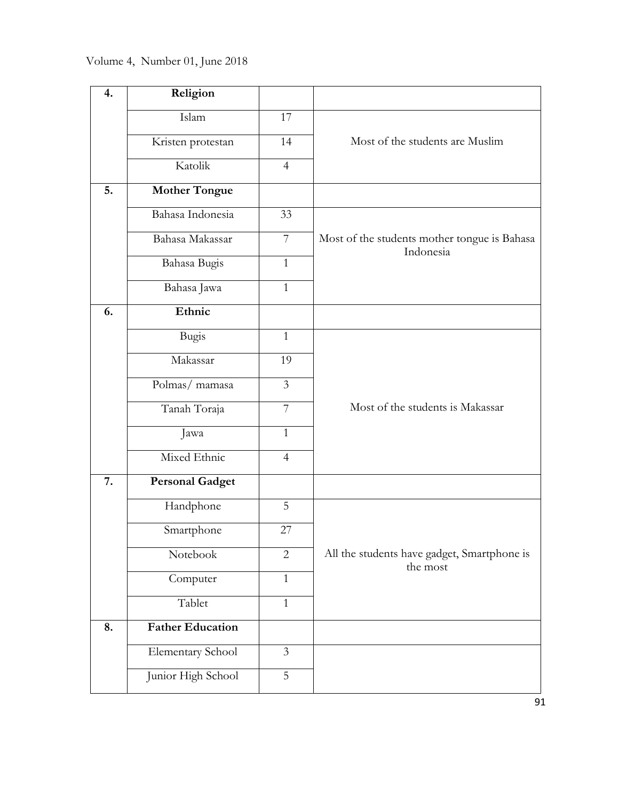| 4. | Religion                |                |                                                           |
|----|-------------------------|----------------|-----------------------------------------------------------|
|    | Islam                   | 17             |                                                           |
|    | Kristen protestan       | 14             | Most of the students are Muslim                           |
|    | Katolik                 | $\overline{4}$ |                                                           |
| 5. | <b>Mother Tongue</b>    |                |                                                           |
|    | Bahasa Indonesia        | 33             |                                                           |
|    | Bahasa Makassar         | $\overline{7}$ | Most of the students mother tongue is Bahasa<br>Indonesia |
|    | Bahasa Bugis            | $\mathbf{1}$   |                                                           |
|    | Bahasa Jawa             | $\mathbf{1}$   |                                                           |
| 6. | Ethnic                  |                |                                                           |
|    | Bugis                   | $\mathbf{1}$   |                                                           |
|    | Makassar                | 19             |                                                           |
|    | Polmas/ mamasa          | 3              |                                                           |
|    | Tanah Toraja            | $\overline{7}$ | Most of the students is Makassar                          |
|    | Jawa                    | $\mathbf{1}$   |                                                           |
|    | Mixed Ethnic            | $\overline{4}$ |                                                           |
| 7. | <b>Personal Gadget</b>  |                |                                                           |
|    | Handphone               | 5              |                                                           |
|    | Smartphone              | 27             |                                                           |
|    | Notebook                | $\overline{2}$ | All the students have gadget, Smartphone is<br>the most   |
|    | Computer                | $\mathbf{1}$   |                                                           |
|    | Tablet                  | $\mathbf{1}$   |                                                           |
| 8. | <b>Father Education</b> |                |                                                           |
|    | Elementary School       | $\mathfrak{Z}$ |                                                           |
|    | Junior High School      | 5              |                                                           |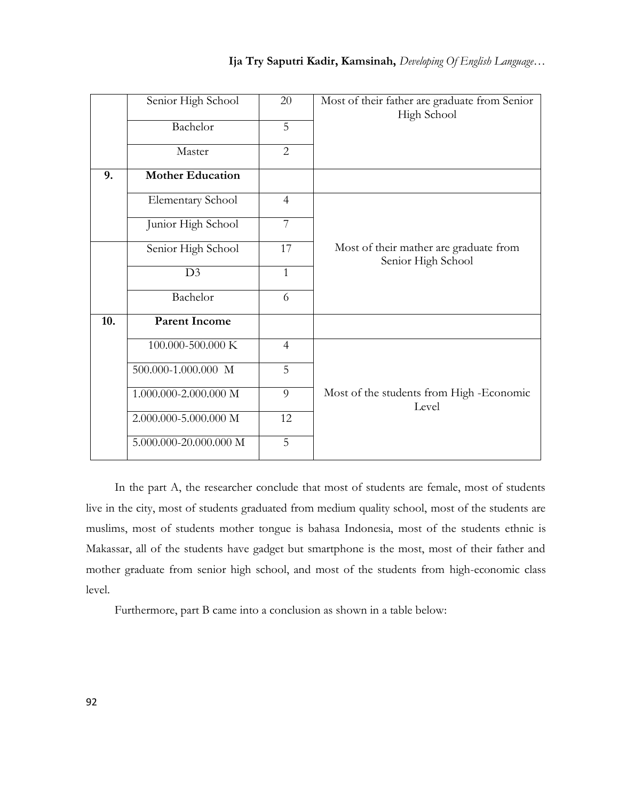|     | Senior High School                      | 20             | Most of their father are graduate from Senior<br>High School |
|-----|-----------------------------------------|----------------|--------------------------------------------------------------|
|     | Bachelor                                | 5              |                                                              |
|     | Master                                  | $\overline{2}$ |                                                              |
| 9.  | <b>Mother Education</b>                 |                |                                                              |
|     | Elementary School                       | $\overline{4}$ |                                                              |
|     | Junior High School                      | $\overline{7}$ |                                                              |
|     | Senior High School                      | 17             | Most of their mather are graduate from<br>Senior High School |
|     | D3                                      | $\mathbf{1}$   |                                                              |
|     | Bachelor                                | 6              |                                                              |
| 10. | <b>Parent Income</b>                    |                |                                                              |
|     | 100.000-500.000 K                       | $\overline{4}$ |                                                              |
|     | 500.000-1.000.000 M                     | 5              |                                                              |
|     | 1.000.000-2.000.000 M                   | 9              | Most of the students from High -Economic<br>Level            |
|     | 2.000.000-5.000.000 M                   | 12             |                                                              |
|     | $5.000.000\text{-}20.000.000\ \text{M}$ | 5              |                                                              |

In the part A, the researcher conclude that most of students are female, most of students live in the city, most of students graduated from medium quality school, most of the students are muslims, most of students mother tongue is bahasa Indonesia, most of the students ethnic is Makassar, all of the students have gadget but smartphone is the most, most of their father and mother graduate from senior high school, and most of the students from high-economic class level.

Furthermore, part B came into a conclusion as shown in a table below: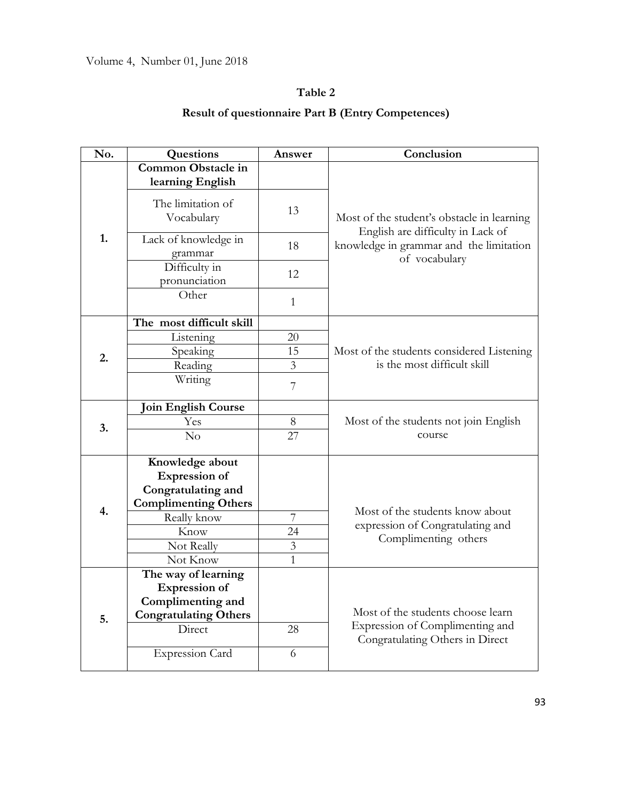# **Table 2**

# **Result of questionnaire Part B (Entry Competences)**

| No. | Questions                                                                                    | Answer         | Conclusion                                                                      |
|-----|----------------------------------------------------------------------------------------------|----------------|---------------------------------------------------------------------------------|
|     | <b>Common Obstacle in</b>                                                                    |                |                                                                                 |
|     | learning English                                                                             |                |                                                                                 |
| 1.  | The limitation of<br>Vocabulary                                                              | 13             | Most of the student's obstacle in learning<br>English are difficulty in Lack of |
|     | Lack of knowledge in<br>grammar                                                              | 18             | knowledge in grammar and the limitation<br>of vocabulary                        |
|     | Difficulty in<br>pronunciation                                                               | 12             |                                                                                 |
|     | Other                                                                                        | $\mathbf{1}$   |                                                                                 |
|     | The most difficult skill                                                                     |                |                                                                                 |
|     | Listening                                                                                    | 20             |                                                                                 |
| 2.  | Speaking                                                                                     | 15             | Most of the students considered Listening                                       |
|     | Reading                                                                                      | 3              | is the most difficult skill                                                     |
|     | Writing                                                                                      | 7              |                                                                                 |
| 3.  | <b>Join English Course</b>                                                                   |                |                                                                                 |
|     | Yes                                                                                          | 8              | Most of the students not join English                                           |
|     | No                                                                                           | 27             | course                                                                          |
|     | Knowledge about<br><b>Expression of</b><br>Congratulating and<br><b>Complimenting Others</b> |                |                                                                                 |
| 4.  | Really know                                                                                  | $\overline{7}$ | Most of the students know about<br>expression of Congratulating and             |
|     | Know                                                                                         | 24             | Complimenting others                                                            |
|     | Not Really                                                                                   | $\mathfrak{Z}$ |                                                                                 |
|     | Not Know                                                                                     | $\overline{1}$ |                                                                                 |
|     | The way of learning<br><b>Expression of</b>                                                  |                |                                                                                 |
| 5.  | Complimenting and                                                                            |                |                                                                                 |
|     | <b>Congratulating Others</b>                                                                 |                | Most of the students choose learn                                               |
|     | Direct                                                                                       | 28             | Expression of Complimenting and<br>Congratulating Others in Direct              |
|     | <b>Expression Card</b>                                                                       | 6              |                                                                                 |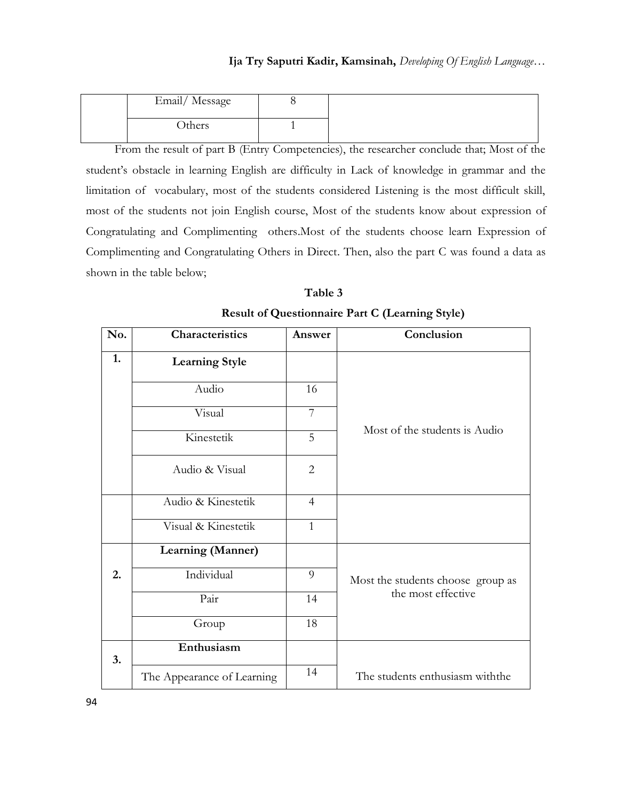| Email/Message |  |
|---------------|--|
| <b>Others</b> |  |

From the result of part B (Entry Competencies), the researcher conclude that; Most of the student's obstacle in learning English are difficulty in Lack of knowledge in grammar and the limitation of vocabulary, most of the students considered Listening is the most difficult skill, most of the students not join English course, Most of the students know about expression of Congratulating and Complimenting others.Most of the students choose learn Expression of Complimenting and Congratulating Others in Direct. Then, also the part C was found a data as shown in the table below;

| No. | Characteristics            | Answer         | Conclusion                        |  |
|-----|----------------------------|----------------|-----------------------------------|--|
| 1.  | <b>Learning Style</b>      |                |                                   |  |
|     | Audio                      | 16             |                                   |  |
|     | Visual                     | $\overline{7}$ |                                   |  |
|     | Kinestetik                 | 5              | Most of the students is Audio     |  |
|     | Audio & Visual             | $\overline{2}$ |                                   |  |
|     | Audio & Kinestetik         | $\overline{4}$ |                                   |  |
|     | Visual & Kinestetik        | $\mathbf{1}$   |                                   |  |
|     | Learning (Manner)          |                |                                   |  |
| 2.  | Individual                 | 9              | Most the students choose group as |  |
|     | Pair                       | 14             | the most effective                |  |
|     | Group                      | 18             |                                   |  |
| 3.  | Enthusiasm                 |                |                                   |  |
|     | The Appearance of Learning | 14             | The students enthusiasm with the  |  |

| Table 3                                                |  |
|--------------------------------------------------------|--|
| <b>Result of Questionnaire Part C (Learning Style)</b> |  |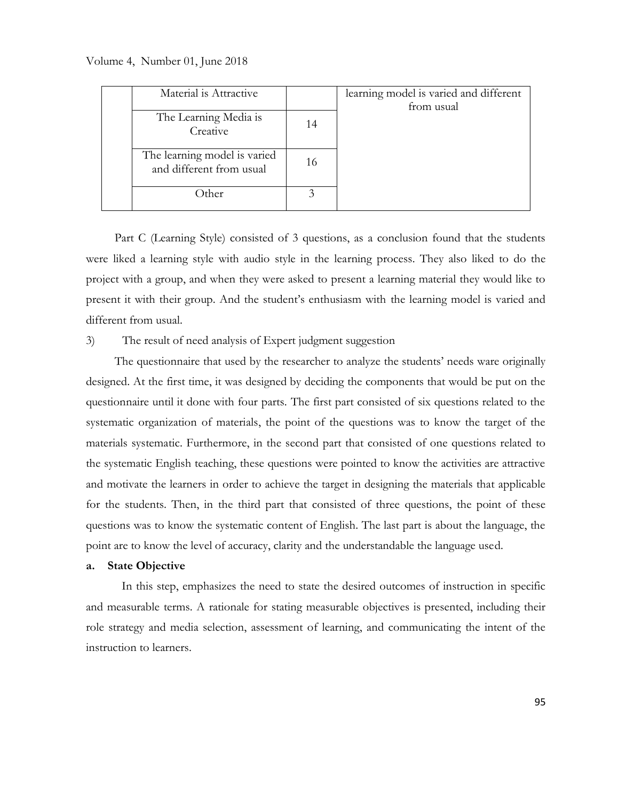Volume 4, Number 01, June 2018

| Material is Attractive                                   |    | learning model is varied and different<br>from usual |
|----------------------------------------------------------|----|------------------------------------------------------|
| The Learning Media is<br>Creative                        | 14 |                                                      |
| The learning model is varied<br>and different from usual | 16 |                                                      |
| Other                                                    |    |                                                      |

Part C (Learning Style) consisted of 3 questions, as a conclusion found that the students were liked a learning style with audio style in the learning process. They also liked to do the project with a group, and when they were asked to present a learning material they would like to present it with their group. And the student's enthusiasm with the learning model is varied and different from usual.

#### 3) The result of need analysis of Expert judgment suggestion

The questionnaire that used by the researcher to analyze the students' needs ware originally designed. At the first time, it was designed by deciding the components that would be put on the questionnaire until it done with four parts. The first part consisted of six questions related to the systematic organization of materials, the point of the questions was to know the target of the materials systematic. Furthermore, in the second part that consisted of one questions related to the systematic English teaching, these questions were pointed to know the activities are attractive and motivate the learners in order to achieve the target in designing the materials that applicable for the students. Then, in the third part that consisted of three questions, the point of these questions was to know the systematic content of English. The last part is about the language, the point are to know the level of accuracy, clarity and the understandable the language used.

#### **a. State Objective**

In this step, emphasizes the need to state the desired outcomes of instruction in specific and measurable terms. A rationale for stating measurable objectives is presented, including their role strategy and media selection, assessment of learning, and communicating the intent of the instruction to learners.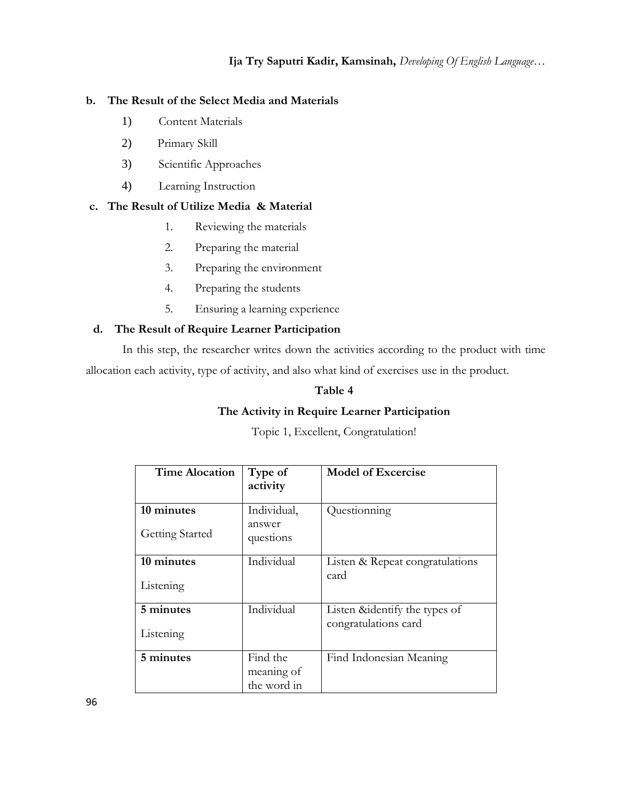## **b. The Result of the Select Media and Materials**

- 1) Content Materials
- 2) Primary Skill
- 3) Scientific Approaches
- 4) Learning Instruction

# **c. The Result of Utilize Media & Material**

- 1. Reviewing the materials
- 2. Preparing the material
- 3. Preparing the environment
- 4. Preparing the students
- 5. Ensuring a learning experience

## **d. The Result of Require Learner Participation**

In this step, the researcher writes down the activities according to the product with time allocation each activity, type of activity, and also what kind of exercises use in the product.

## **Table 4**

# **The Activity in Require Learner Participation**

Topic 1, Excellent, Congratulation!

| <b>Time Alocation</b>  | Type of<br>activity                   | <b>Model of Excercise</b>       |
|------------------------|---------------------------------------|---------------------------------|
| 10 minutes             | Individual,                           | Questionning                    |
| <b>Getting Started</b> | answer<br>questions                   |                                 |
| 10 minutes             | Individual                            | Listen & Repeat congratulations |
| Listening              |                                       | card                            |
| 5 minutes              | Individual                            | Listen & identify the types of  |
| Listening              |                                       | congratulations card            |
| 5 minutes              | Find the<br>meaning of<br>the word in | Find Indonesian Meaning         |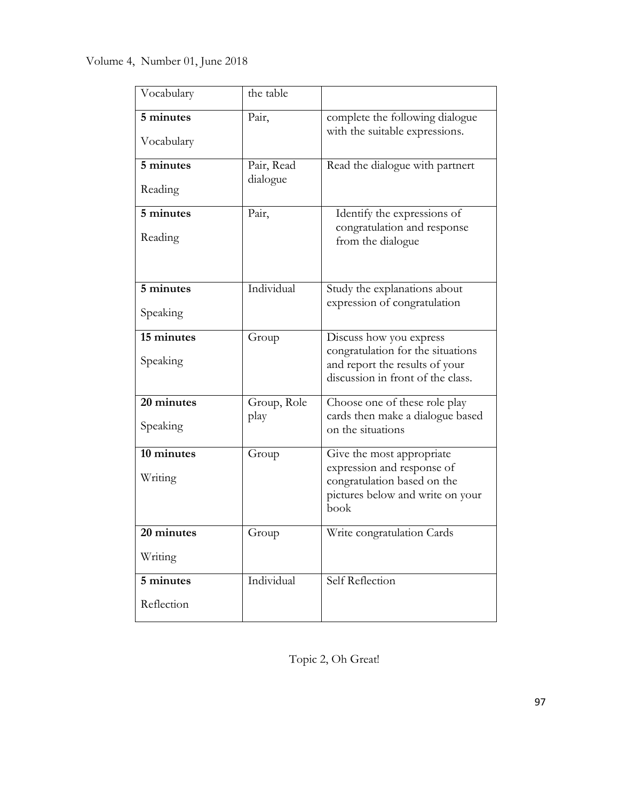| Vocabulary | the table              |                                                                     |
|------------|------------------------|---------------------------------------------------------------------|
| 5 minutes  | Pair,                  | complete the following dialogue<br>with the suitable expressions.   |
| Vocabulary |                        |                                                                     |
| 5 minutes  | Pair, Read<br>dialogue | Read the dialogue with partnert                                     |
| Reading    |                        |                                                                     |
| 5 minutes  | Pair,                  | Identify the expressions of<br>congratulation and response          |
| Reading    |                        | from the dialogue                                                   |
|            |                        |                                                                     |
| 5 minutes  | Individual             | Study the explanations about<br>expression of congratulation        |
| Speaking   |                        |                                                                     |
| 15 minutes | Group                  | Discuss how you express<br>congratulation for the situations        |
| Speaking   |                        | and report the results of your<br>discussion in front of the class. |
| 20 minutes | Group, Role<br>play    | Choose one of these role play<br>cards then make a dialogue based   |
| Speaking   |                        | on the situations                                                   |
| 10 minutes | Group                  | Give the most appropriate<br>expression and response of             |
| Writing    |                        | congratulation based on the<br>pictures below and write on your     |
|            |                        | book                                                                |
| 20 minutes | Group                  | Write congratulation Cards                                          |
| Writing    |                        |                                                                     |
| 5 minutes  | Individual             | Self Reflection                                                     |
| Reflection |                        |                                                                     |

Topic 2, Oh Great!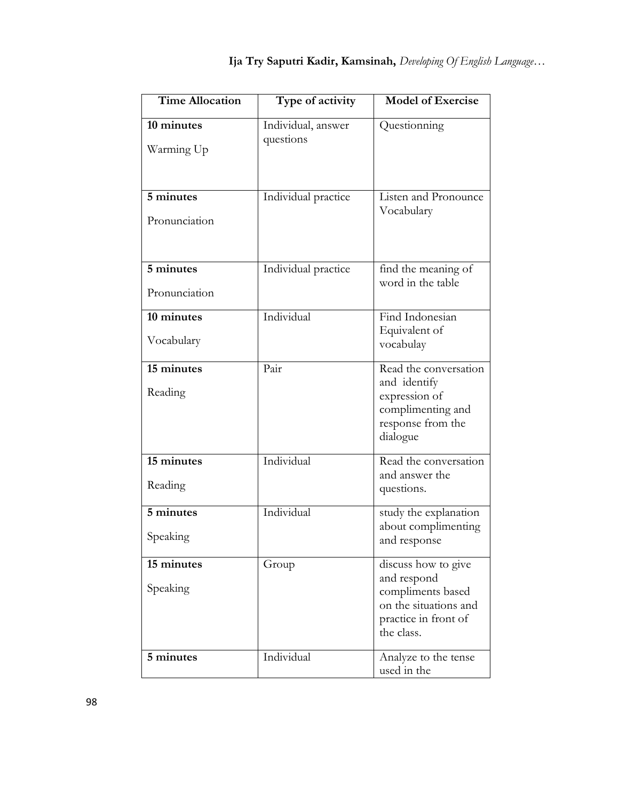| <b>Time Allocation</b>     | Type of activity                | <b>Model of Exercise</b>                                                                                               |
|----------------------------|---------------------------------|------------------------------------------------------------------------------------------------------------------------|
| 10 minutes<br>Warming Up   | Individual, answer<br>questions | Questionning                                                                                                           |
| 5 minutes<br>Pronunciation | Individual practice             | Listen and Pronounce<br>Vocabulary                                                                                     |
| 5 minutes<br>Pronunciation | Individual practice             | find the meaning of<br>word in the table                                                                               |
| 10 minutes<br>Vocabulary   | Individual                      | Find Indonesian<br>Equivalent of<br>vocabulay                                                                          |
| 15 minutes<br>Reading      | Pair                            | Read the conversation<br>and identify<br>expression of<br>complimenting and<br>response from the<br>dialogue           |
| 15 minutes<br>Reading      | Individual                      | Read the conversation<br>and answer the<br>questions.                                                                  |
| 5 minutes<br>Speaking      | Individual                      | study the explanation<br>about complimenting<br>and response                                                           |
| 15 minutes<br>Speaking     | Group                           | discuss how to give<br>and respond<br>compliments based<br>on the situations and<br>practice in front of<br>the class. |
| 5 minutes                  | Individual                      | Analyze to the tense<br>used in the                                                                                    |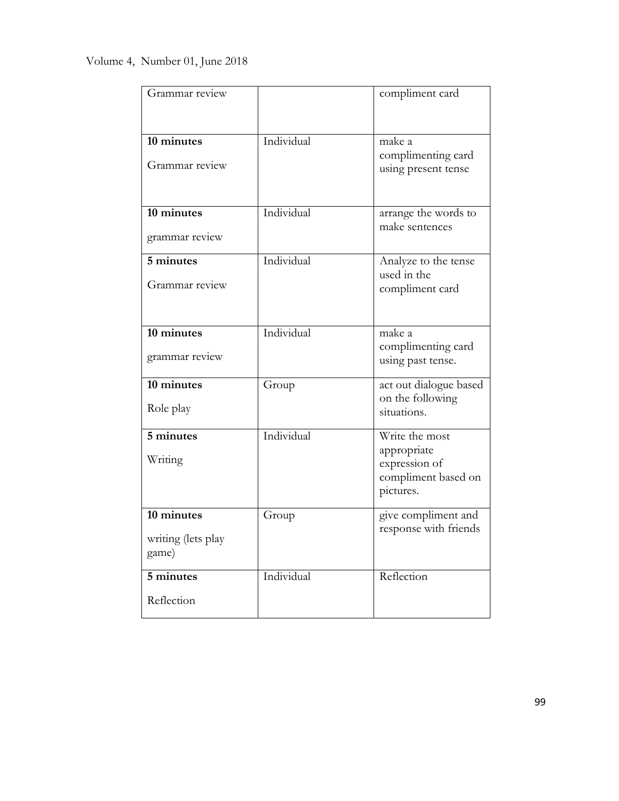| Grammar review                            |            | compliment card                                                                    |
|-------------------------------------------|------------|------------------------------------------------------------------------------------|
| 10 minutes<br>Grammar review              | Individual | make a<br>complimenting card<br>using present tense                                |
| 10 minutes<br>grammar review              | Individual | arrange the words to<br>make sentences                                             |
| 5 minutes<br>Grammar review               | Individual | Analyze to the tense<br>used in the<br>compliment card                             |
| 10 minutes<br>grammar review              | Individual | make a<br>complimenting card<br>using past tense.                                  |
| 10 minutes<br>Role play                   | Group      | act out dialogue based<br>on the following<br>situations.                          |
| 5 minutes<br>Writing                      | Individual | Write the most<br>appropriate<br>expression of<br>compliment based on<br>pictures. |
| 10 minutes<br>writing (lets play<br>game) | Group      | give compliment and<br>response with friends                                       |
| 5 minutes<br>Reflection                   | Individual | Reflection                                                                         |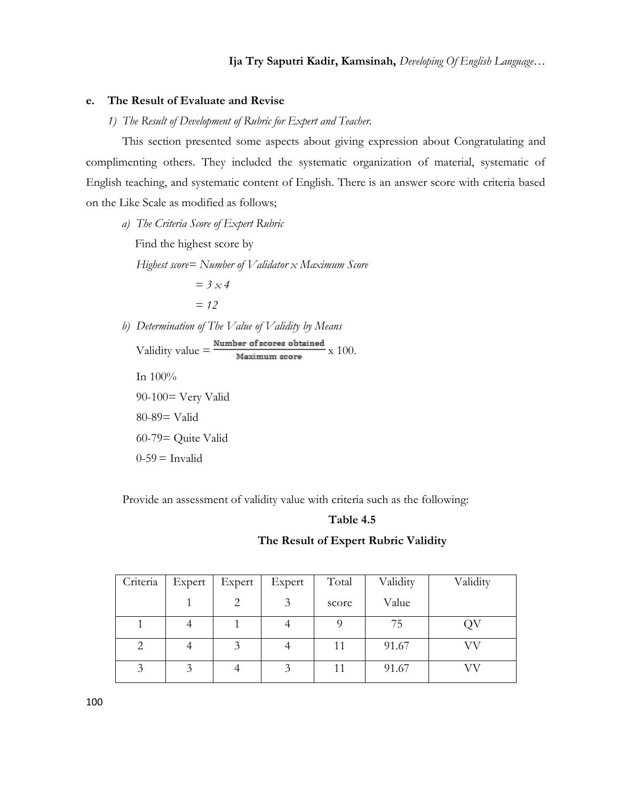#### **e. The Result of Evaluate and Revise**

*1) The Result of Development of Rubric for Expert and Teacher.*

This section presented some aspects about giving expression about Congratulating and complimenting others. They included the systematic organization of material, systematic of English teaching, and systematic content of English. There is an answer score with criteria based on the Like Scale as modified as follows;

*a) The Criteria Score of Expert Rubric*

Find the highest score by

*Highest score= Number of Validator x Maximum Score*

$$
= 3 \times 4
$$

$$
= 12
$$

*b) Determination of The Value of Validity by Means*

Validity value  $=\frac{\text{Number of scores obtained}}{\text{Maximum score}}$  x 100. In 100% 90-100= Very Valid 80-89= Valid 60-79= Quite Valid  $0-59$  = Invalid

Provide an assessment of validity value with criteria such as the following:

#### **Table 4.5**

#### **The Result of Expert Rubric Validity**

| Criteria | Expert | Expert | Expert | Total | Validity | Validity |
|----------|--------|--------|--------|-------|----------|----------|
|          |        |        | 3      | score | Value    |          |
|          |        |        |        |       | 75       |          |
| 2        |        | 2      |        | 11    | 91.67    | VV       |
| 2        |        |        | 3      | 11    | 91.67    |          |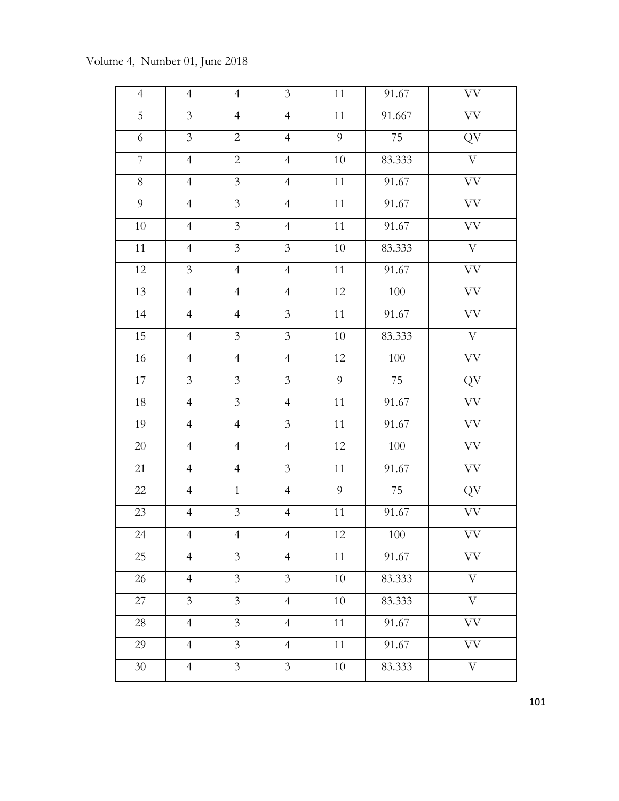# 4 | 4 | 4 | 3 | 11 | 91.67 | VV 5 3 4 4 11 91.667 VV 6 3 2 4 9 75 QV 7 4 2 4 10 83.333 V 8 4 3 4 11 91.67 VV 9 | 4 | 3 | 4 | 11 | 91.67 | VV 10 4 3 4 11 91.67 VV 11 4 3 3 3 10 83.333 V 12 | 3 | 4 | 4 | 11 | 91.67 | VV 13 | 4 | 4 | 4 | 12 | 100 | VV 14 | 4 | 3 | 11 | 91.67 | VV 15 4 3 3 3 10 83.333 V 16 | 4 | 4 | 4 | 12 | 100 | VV 17 3 3 3 3 9 75 QV 18 4 3 4 11 91.67 VV 19 | 4 | 4 | 3 | 11 | 91.67 | VV 20 | 4 | 4 | 4 | 12 | 100 | VV 21 | 4 | 4 | 3 | 11 | 91.67 | VV 22 | 4 | 1 | 4 | 9 | 75 | QV 23 | 4 | 3 | 4 | 11 | 91.67 | VV 24 | 4 | 4 | 4 | 12 | 100 | VV 25 | 4 | 3 | 4 | 11 | 91.67 | VV 26 | 4 | 3 | 3 | 10 | 83.333 | V 27 | 3 | 3 | 4 | 10 | 83.333 | V 28 | 4 | 3 | 4 | 11 | 91.67 | VV 29 | 4 | 3 | 4 | 11 | 91.67 | VV 30 | 4 | 3 | 3 | 10 | 83.333 | V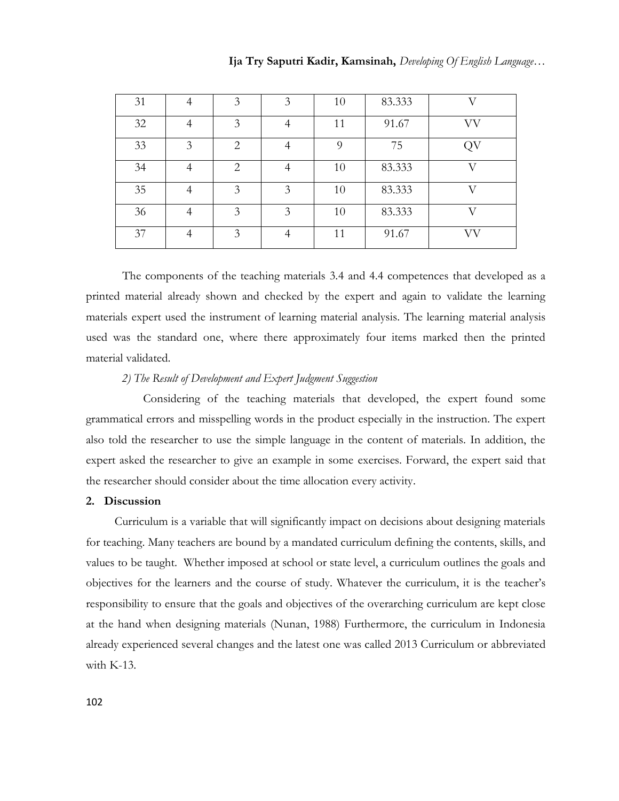| 31 |   | 3 | 3 | 10 | 83.333 | T   |
|----|---|---|---|----|--------|-----|
| 32 | 4 | 3 | 4 | 11 | 91.67  | VV  |
| 33 | 3 | 2 | 4 | 9  | 75     | QV  |
| 34 | 4 | 2 | 4 | 10 | 83.333 | T 7 |
| 35 |   | 3 | 3 | 10 | 83.333 | T   |
| 36 |   | 3 | 3 | 10 | 83.333 | X7  |
| 37 |   | 3 |   | 11 | 91.67  | VV  |

The components of the teaching materials 3.4 and 4.4 competences that developed as a printed material already shown and checked by the expert and again to validate the learning materials expert used the instrument of learning material analysis. The learning material analysis used was the standard one, where there approximately four items marked then the printed material validated.

## *2) The Result of Development and Expert Judgment Suggestion*

Considering of the teaching materials that developed, the expert found some grammatical errors and misspelling words in the product especially in the instruction. The expert also told the researcher to use the simple language in the content of materials. In addition, the expert asked the researcher to give an example in some exercises. Forward, the expert said that the researcher should consider about the time allocation every activity.

### **2. Discussion**

Curriculum is a variable that will significantly impact on decisions about designing materials for teaching. Many teachers are bound by a mandated curriculum defining the contents, skills, and values to be taught. Whether imposed at school or state level, a curriculum outlines the goals and objectives for the learners and the course of study. Whatever the curriculum, it is the teacher's responsibility to ensure that the goals and objectives of the overarching curriculum are kept close at the hand when designing materials (Nunan, 1988) Furthermore, the curriculum in Indonesia already experienced several changes and the latest one was called 2013 Curriculum or abbreviated with K-13.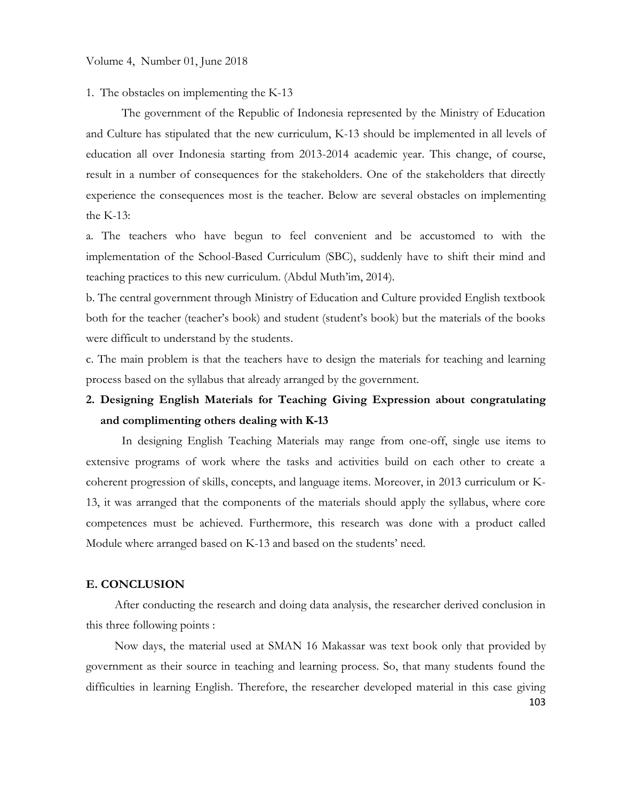#### 1. The obstacles on implementing the K-13

The government of the Republic of Indonesia represented by the Ministry of Education and Culture has stipulated that the new curriculum, K-13 should be implemented in all levels of education all over Indonesia starting from 2013-2014 academic year. This change, of course, result in a number of consequences for the stakeholders. One of the stakeholders that directly experience the consequences most is the teacher. Below are several obstacles on implementing the K-13:

a. The teachers who have begun to feel convenient and be accustomed to with the implementation of the School-Based Curriculum (SBC), suddenly have to shift their mind and teaching practices to this new curriculum. (Abdul Muth'im, 2014).

b. The central government through Ministry of Education and Culture provided English textbook both for the teacher (teacher's book) and student (student's book) but the materials of the books were difficult to understand by the students.

c. The main problem is that the teachers have to design the materials for teaching and learning process based on the syllabus that already arranged by the government.

# **2. Designing English Materials for Teaching Giving Expression about congratulating and complimenting others dealing with K-13**

In designing English Teaching Materials may range from one-off, single use items to extensive programs of work where the tasks and activities build on each other to create a coherent progression of skills, concepts, and language items. Moreover, in 2013 curriculum or K-13, it was arranged that the components of the materials should apply the syllabus, where core competences must be achieved. Furthermore, this research was done with a product called Module where arranged based on K-13 and based on the students' need.

## **E. CONCLUSION**

After conducting the research and doing data analysis, the researcher derived conclusion in this three following points :

103 Now days, the material used at SMAN 16 Makassar was text book only that provided by government as their source in teaching and learning process. So, that many students found the difficulties in learning English. Therefore, the researcher developed material in this case giving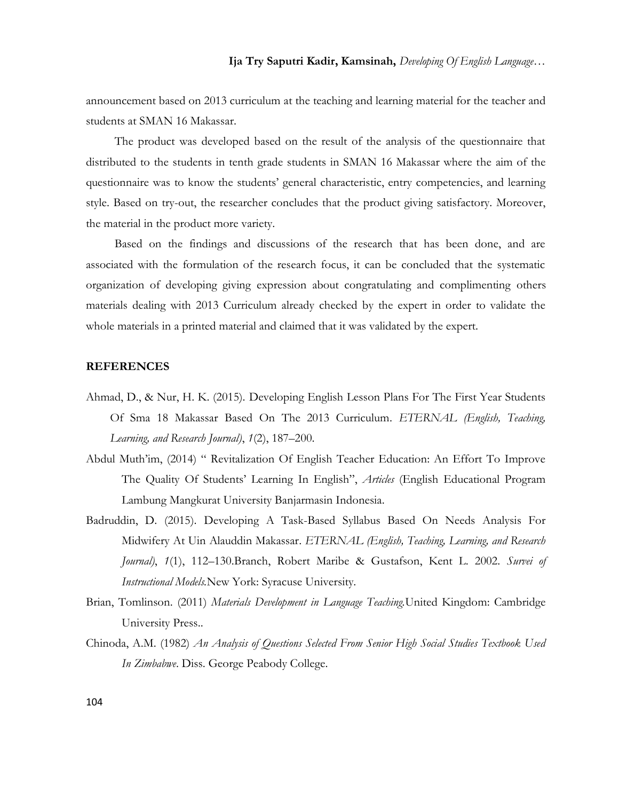announcement based on 2013 curriculum at the teaching and learning material for the teacher and students at SMAN 16 Makassar.

The product was developed based on the result of the analysis of the questionnaire that distributed to the students in tenth grade students in SMAN 16 Makassar where the aim of the questionnaire was to know the students' general characteristic, entry competencies, and learning style. Based on try-out, the researcher concludes that the product giving satisfactory. Moreover, the material in the product more variety.

Based on the findings and discussions of the research that has been done, and are associated with the formulation of the research focus, it can be concluded that the systematic organization of developing giving expression about congratulating and complimenting others materials dealing with 2013 Curriculum already checked by the expert in order to validate the whole materials in a printed material and claimed that it was validated by the expert.

#### **REFERENCES**

- Ahmad, D., & Nur, H. K. (2015). Developing English Lesson Plans For The First Year Students Of Sma 18 Makassar Based On The 2013 Curriculum. *ETERNAL (English, Teaching, Learning, and Research Journal)*, *1*(2), 187–200.
- Abdul Muth'im, (2014) " Revitalization Of English Teacher Education: An Effort To Improve The Quality Of Students' Learning In English", *Articles* (English Educational Program Lambung Mangkurat University Banjarmasin Indonesia.
- Badruddin, D. (2015). Developing A Task-Based Syllabus Based On Needs Analysis For Midwifery At Uin Alauddin Makassar. *ETERNAL (English, Teaching, Learning, and Research Journal)*, *1*(1), 112–130.Branch, Robert Maribe & Gustafson, Kent L. 2002. *Survei of Instructional Models.*New York: Syracuse University.
- Brian, Tomlinson. (2011) *Materials Development in Language Teaching.*United Kingdom: Cambridge University Press..
- Chinoda, A.M. (1982) *An Analysis of Questions Selected From Senior High Social Studies Textbook Used In Zimbabwe*. Diss. George Peabody College.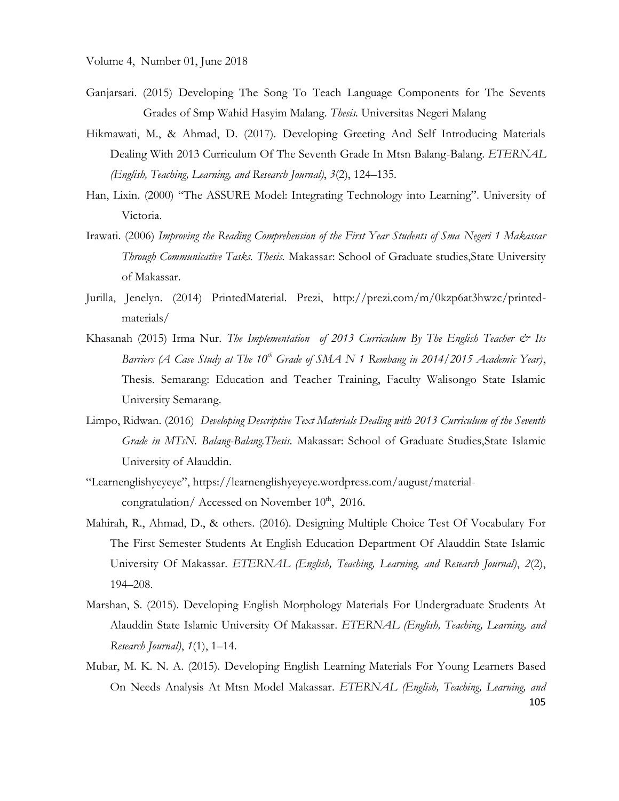- Ganjarsari. (2015) Developing The Song To Teach Language Components for The Sevents Grades of Smp Wahid Hasyim Malang. *Thesis.* Universitas Negeri Malang
- Hikmawati, M., & Ahmad, D. (2017). Developing Greeting And Self Introducing Materials Dealing With 2013 Curriculum Of The Seventh Grade In Mtsn Balang-Balang. *ETERNAL (English, Teaching, Learning, and Research Journal)*, *3*(2), 124–135.
- Han, Lixin. (2000) "The ASSURE Model: Integrating Technology into Learning". University of Victoria.
- Irawati. (2006) *Improving the Reading Comprehension of the First Year Students of Sma Negeri 1 Makassar Through Communicative Tasks. Thesis.* Makassar: School of Graduate studies,State University of Makassar.
- Jurilla, Jenelyn. (2014) PrintedMaterial. Prezi, [http://prezi.com/m/0kzp6at3hwzc/printed](http://prezi.com/m/0kzp6at3hwzc/printed-materials/)[materials/](http://prezi.com/m/0kzp6at3hwzc/printed-materials/)
- Khasanah (2015) Irma Nur. *The Implementation of 2013 Curriculum By The English Teacher & Its Barriers (A Case Study at The 10th Grade of SMA N 1 Rembang in 2014/2015 Academic Year)*, Thesis. Semarang: Education and Teacher Training, Faculty Walisongo State Islamic University Semarang.
- Limpo, Ridwan. (2016) *Developing Descriptive Text Materials Dealing with 2013 Curriculum of the Seventh Grade in MTsN. Balang-Balang.Thesis.* Makassar: School of Graduate Studies,State Islamic University of Alauddin.
- "[Learnenglishyeyeye](https://learnenglishyeyeye.wordpress.com/)", [https://learnenglishyeyeye.wordpress.com/august/material](https://learnenglishyeyeye.wordpress.com/august/material-congratulation/)[congratulation/](https://learnenglishyeyeye.wordpress.com/august/material-congratulation/) Accessed on November  $10^{th}$ , 2016.
- Mahirah, R., Ahmad, D., & others. (2016). Designing Multiple Choice Test Of Vocabulary For The First Semester Students At English Education Department Of Alauddin State Islamic University Of Makassar. *ETERNAL (English, Teaching, Learning, and Research Journal)*, *2*(2), 194–208.
- Marshan, S. (2015). Developing English Morphology Materials For Undergraduate Students At Alauddin State Islamic University Of Makassar. *ETERNAL (English, Teaching, Learning, and Research Journal)*, *1*(1), 1–14.
- 105 Mubar, M. K. N. A. (2015). Developing English Learning Materials For Young Learners Based On Needs Analysis At Mtsn Model Makassar. *ETERNAL (English, Teaching, Learning, and*